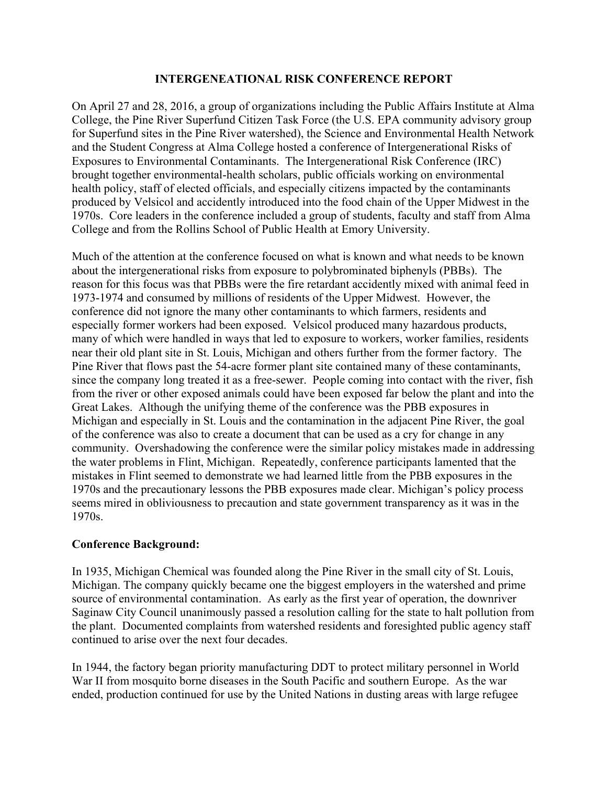### **INTERGENEATIONAL RISK CONFERENCE REPORT**

On April 27 and 28, 2016, a group of organizations including the Public Affairs Institute at Alma College, the Pine River Superfund Citizen Task Force (the U.S. EPA community advisory group for Superfund sites in the Pine River watershed), the Science and Environmental Health Network and the Student Congress at Alma College hosted a conference of Intergenerational Risks of Exposures to Environmental Contaminants. The Intergenerational Risk Conference (IRC) brought together environmental-health scholars, public officials working on environmental health policy, staff of elected officials, and especially citizens impacted by the contaminants produced by Velsicol and accidently introduced into the food chain of the Upper Midwest in the 1970s. Core leaders in the conference included a group of students, faculty and staff from Alma College and from the Rollins School of Public Health at Emory University.

Much of the attention at the conference focused on what is known and what needs to be known about the intergenerational risks from exposure to polybrominated biphenyls (PBBs). The reason for this focus was that PBBs were the fire retardant accidently mixed with animal feed in 1973-1974 and consumed by millions of residents of the Upper Midwest. However, the conference did not ignore the many other contaminants to which farmers, residents and especially former workers had been exposed. Velsicol produced many hazardous products, many of which were handled in ways that led to exposure to workers, worker families, residents near their old plant site in St. Louis, Michigan and others further from the former factory. The Pine River that flows past the 54-acre former plant site contained many of these contaminants, since the company long treated it as a free-sewer. People coming into contact with the river, fish from the river or other exposed animals could have been exposed far below the plant and into the Great Lakes. Although the unifying theme of the conference was the PBB exposures in Michigan and especially in St. Louis and the contamination in the adjacent Pine River, the goal of the conference was also to create a document that can be used as a cry for change in any community. Overshadowing the conference were the similar policy mistakes made in addressing the water problems in Flint, Michigan. Repeatedly, conference participants lamented that the mistakes in Flint seemed to demonstrate we had learned little from the PBB exposures in the 1970s and the precautionary lessons the PBB exposures made clear. Michigan's policy process seems mired in obliviousness to precaution and state government transparency as it was in the 1970s.

# **Conference Background:**

In 1935, Michigan Chemical was founded along the Pine River in the small city of St. Louis, Michigan. The company quickly became one the biggest employers in the watershed and prime source of environmental contamination. As early as the first year of operation, the downriver Saginaw City Council unanimously passed a resolution calling for the state to halt pollution from the plant. Documented complaints from watershed residents and foresighted public agency staff continued to arise over the next four decades.

In 1944, the factory began priority manufacturing DDT to protect military personnel in World War II from mosquito borne diseases in the South Pacific and southern Europe. As the war ended, production continued for use by the United Nations in dusting areas with large refugee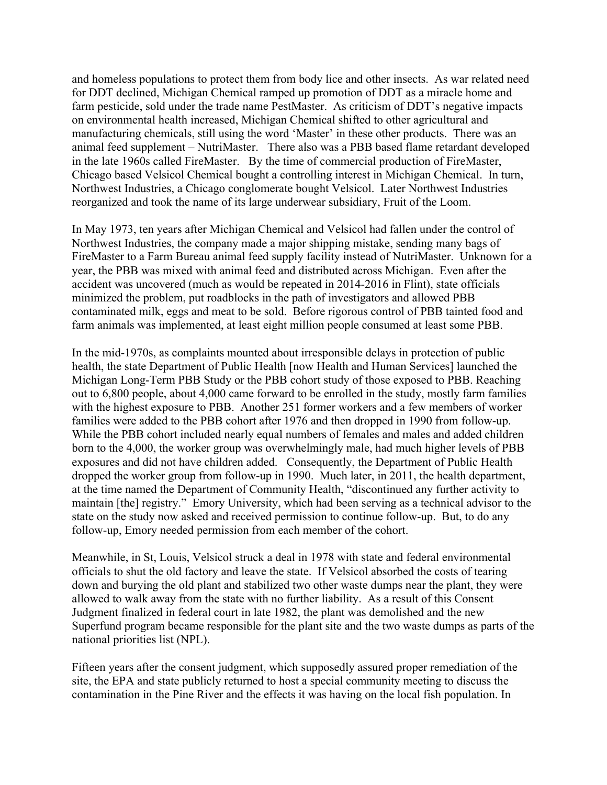and homeless populations to protect them from body lice and other insects. As war related need for DDT declined, Michigan Chemical ramped up promotion of DDT as a miracle home and farm pesticide, sold under the trade name PestMaster. As criticism of DDT's negative impacts on environmental health increased, Michigan Chemical shifted to other agricultural and manufacturing chemicals, still using the word 'Master' in these other products. There was an animal feed supplement – NutriMaster. There also was a PBB based flame retardant developed in the late 1960s called FireMaster. By the time of commercial production of FireMaster, Chicago based Velsicol Chemical bought a controlling interest in Michigan Chemical. In turn, Northwest Industries, a Chicago conglomerate bought Velsicol. Later Northwest Industries reorganized and took the name of its large underwear subsidiary, Fruit of the Loom.

In May 1973, ten years after Michigan Chemical and Velsicol had fallen under the control of Northwest Industries, the company made a major shipping mistake, sending many bags of FireMaster to a Farm Bureau animal feed supply facility instead of NutriMaster. Unknown for a year, the PBB was mixed with animal feed and distributed across Michigan. Even after the accident was uncovered (much as would be repeated in 2014-2016 in Flint), state officials minimized the problem, put roadblocks in the path of investigators and allowed PBB contaminated milk, eggs and meat to be sold. Before rigorous control of PBB tainted food and farm animals was implemented, at least eight million people consumed at least some PBB.

In the mid-1970s, as complaints mounted about irresponsible delays in protection of public health, the state Department of Public Health [now Health and Human Services] launched the Michigan Long-Term PBB Study or the PBB cohort study of those exposed to PBB. Reaching out to 6,800 people, about 4,000 came forward to be enrolled in the study, mostly farm families with the highest exposure to PBB. Another 251 former workers and a few members of worker families were added to the PBB cohort after 1976 and then dropped in 1990 from follow-up. While the PBB cohort included nearly equal numbers of females and males and added children born to the 4,000, the worker group was overwhelmingly male, had much higher levels of PBB exposures and did not have children added. Consequently, the Department of Public Health dropped the worker group from follow-up in 1990. Much later, in 2011, the health department, at the time named the Department of Community Health, "discontinued any further activity to maintain [the] registry." Emory University, which had been serving as a technical advisor to the state on the study now asked and received permission to continue follow-up. But, to do any follow-up, Emory needed permission from each member of the cohort.

Meanwhile, in St, Louis, Velsicol struck a deal in 1978 with state and federal environmental officials to shut the old factory and leave the state. If Velsicol absorbed the costs of tearing down and burying the old plant and stabilized two other waste dumps near the plant, they were allowed to walk away from the state with no further liability. As a result of this Consent Judgment finalized in federal court in late 1982, the plant was demolished and the new Superfund program became responsible for the plant site and the two waste dumps as parts of the national priorities list (NPL).

Fifteen years after the consent judgment, which supposedly assured proper remediation of the site, the EPA and state publicly returned to host a special community meeting to discuss the contamination in the Pine River and the effects it was having on the local fish population. In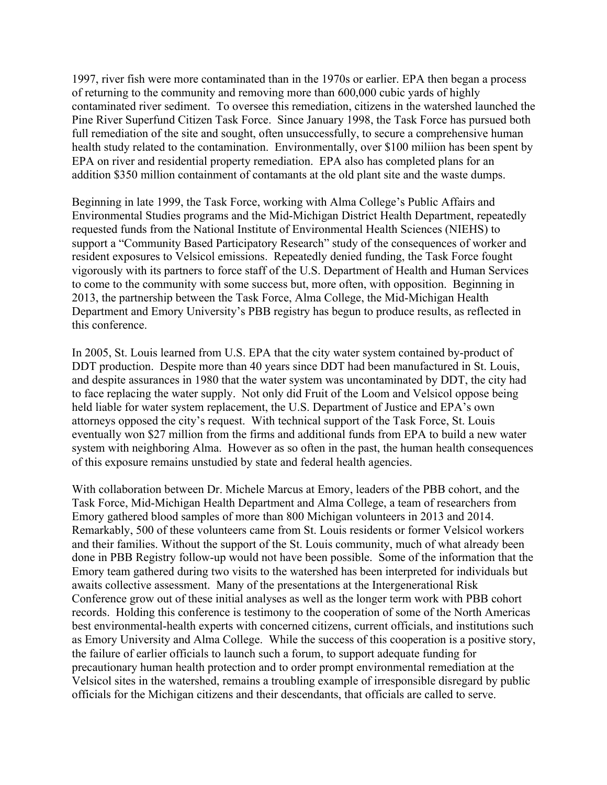1997, river fish were more contaminated than in the 1970s or earlier. EPA then began a process of returning to the community and removing more than 600,000 cubic yards of highly contaminated river sediment. To oversee this remediation, citizens in the watershed launched the Pine River Superfund Citizen Task Force. Since January 1998, the Task Force has pursued both full remediation of the site and sought, often unsuccessfully, to secure a comprehensive human health study related to the contamination. Environmentally, over \$100 miliion has been spent by EPA on river and residential property remediation. EPA also has completed plans for an addition \$350 million containment of contamants at the old plant site and the waste dumps.

Beginning in late 1999, the Task Force, working with Alma College's Public Affairs and Environmental Studies programs and the Mid-Michigan District Health Department, repeatedly requested funds from the National Institute of Environmental Health Sciences (NIEHS) to support a "Community Based Participatory Research" study of the consequences of worker and resident exposures to Velsicol emissions. Repeatedly denied funding, the Task Force fought vigorously with its partners to force staff of the U.S. Department of Health and Human Services to come to the community with some success but, more often, with opposition. Beginning in 2013, the partnership between the Task Force, Alma College, the Mid-Michigan Health Department and Emory University's PBB registry has begun to produce results, as reflected in this conference.

In 2005, St. Louis learned from U.S. EPA that the city water system contained by-product of DDT production. Despite more than 40 years since DDT had been manufactured in St. Louis, and despite assurances in 1980 that the water system was uncontaminated by DDT, the city had to face replacing the water supply. Not only did Fruit of the Loom and Velsicol oppose being held liable for water system replacement, the U.S. Department of Justice and EPA's own attorneys opposed the city's request. With technical support of the Task Force, St. Louis eventually won \$27 million from the firms and additional funds from EPA to build a new water system with neighboring Alma. However as so often in the past, the human health consequences of this exposure remains unstudied by state and federal health agencies.

With collaboration between Dr. Michele Marcus at Emory, leaders of the PBB cohort, and the Task Force, Mid-Michigan Health Department and Alma College, a team of researchers from Emory gathered blood samples of more than 800 Michigan volunteers in 2013 and 2014. Remarkably, 500 of these volunteers came from St. Louis residents or former Velsicol workers and their families. Without the support of the St. Louis community, much of what already been done in PBB Registry follow-up would not have been possible. Some of the information that the Emory team gathered during two visits to the watershed has been interpreted for individuals but awaits collective assessment. Many of the presentations at the Intergenerational Risk Conference grow out of these initial analyses as well as the longer term work with PBB cohort records. Holding this conference is testimony to the cooperation of some of the North Americas best environmental-health experts with concerned citizens, current officials, and institutions such as Emory University and Alma College. While the success of this cooperation is a positive story, the failure of earlier officials to launch such a forum, to support adequate funding for precautionary human health protection and to order prompt environmental remediation at the Velsicol sites in the watershed, remains a troubling example of irresponsible disregard by public officials for the Michigan citizens and their descendants, that officials are called to serve.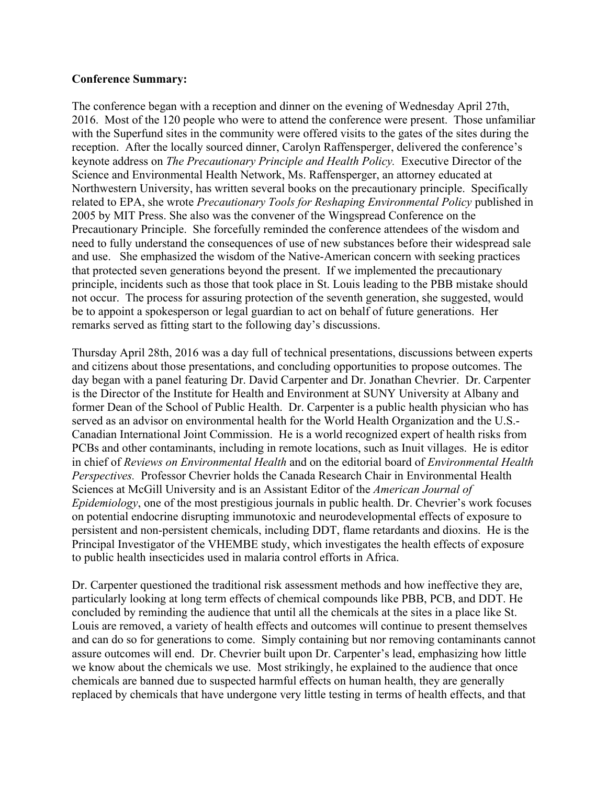#### **Conference Summary:**

The conference began with a reception and dinner on the evening of Wednesday April 27th, 2016. Most of the 120 people who were to attend the conference were present. Those unfamiliar with the Superfund sites in the community were offered visits to the gates of the sites during the reception. After the locally sourced dinner, Carolyn Raffensperger, delivered the conference's keynote address on *The Precautionary Principle and Health Policy.* Executive Director of the Science and Environmental Health Network, Ms. Raffensperger, an attorney educated at Northwestern University, has written several books on the precautionary principle. Specifically related to EPA, she wrote *Precautionary Tools for Reshaping Environmental Policy* published in 2005 by MIT Press. She also was the convener of the Wingspread Conference on the Precautionary Principle. She forcefully reminded the conference attendees of the wisdom and need to fully understand the consequences of use of new substances before their widespread sale and use. She emphasized the wisdom of the Native-American concern with seeking practices that protected seven generations beyond the present. If we implemented the precautionary principle, incidents such as those that took place in St. Louis leading to the PBB mistake should not occur. The process for assuring protection of the seventh generation, she suggested, would be to appoint a spokesperson or legal guardian to act on behalf of future generations. Her remarks served as fitting start to the following day's discussions.

Thursday April 28th, 2016 was a day full of technical presentations, discussions between experts and citizens about those presentations, and concluding opportunities to propose outcomes. The day began with a panel featuring Dr. David Carpenter and Dr. Jonathan Chevrier. Dr. Carpenter is the Director of the Institute for Health and Environment at SUNY University at Albany and former Dean of the School of Public Health. Dr. Carpenter is a public health physician who has served as an advisor on environmental health for the World Health Organization and the U.S.- Canadian International Joint Commission. He is a world recognized expert of health risks from PCBs and other contaminants, including in remote locations, such as Inuit villages. He is editor in chief of *Reviews on Environmental Health* and on the editorial board of *Environmental Health Perspectives.* Professor Chevrier holds the Canada Research Chair in Environmental Health Sciences at McGill University and is an Assistant Editor of the *American Journal of Epidemiology*, one of the most prestigious journals in public health. Dr. Chevrier's work focuses on potential endocrine disrupting immunotoxic and neurodevelopmental effects of exposure to persistent and non-persistent chemicals, including DDT, flame retardants and dioxins. He is the Principal Investigator of the VHEMBE study, which investigates the health effects of exposure to public health insecticides used in malaria control efforts in Africa.

Dr. Carpenter questioned the traditional risk assessment methods and how ineffective they are, particularly looking at long term effects of chemical compounds like PBB, PCB, and DDT. He concluded by reminding the audience that until all the chemicals at the sites in a place like St. Louis are removed, a variety of health effects and outcomes will continue to present themselves and can do so for generations to come. Simply containing but nor removing contaminants cannot assure outcomes will end. Dr. Chevrier built upon Dr. Carpenter's lead, emphasizing how little we know about the chemicals we use. Most strikingly, he explained to the audience that once chemicals are banned due to suspected harmful effects on human health, they are generally replaced by chemicals that have undergone very little testing in terms of health effects, and that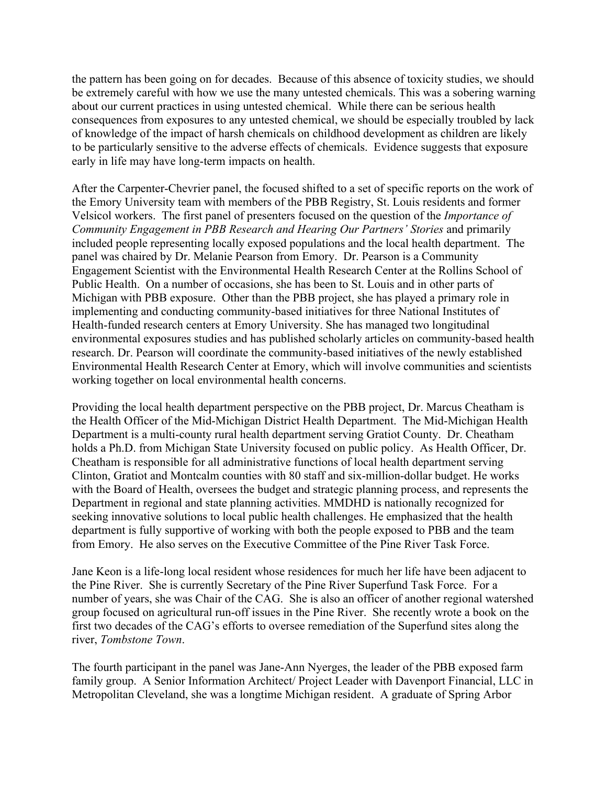the pattern has been going on for decades. Because of this absence of toxicity studies, we should be extremely careful with how we use the many untested chemicals. This was a sobering warning about our current practices in using untested chemical. While there can be serious health consequences from exposures to any untested chemical, we should be especially troubled by lack of knowledge of the impact of harsh chemicals on childhood development as children are likely to be particularly sensitive to the adverse effects of chemicals. Evidence suggests that exposure early in life may have long-term impacts on health.

After the Carpenter-Chevrier panel, the focused shifted to a set of specific reports on the work of the Emory University team with members of the PBB Registry, St. Louis residents and former Velsicol workers. The first panel of presenters focused on the question of the *Importance of Community Engagement in PBB Research and Hearing Our Partners' Stories* and primarily included people representing locally exposed populations and the local health department. The panel was chaired by Dr. Melanie Pearson from Emory. Dr. Pearson is a Community Engagement Scientist with the Environmental Health Research Center at the Rollins School of Public Health. On a number of occasions, she has been to St. Louis and in other parts of Michigan with PBB exposure. Other than the PBB project, she has played a primary role in implementing and conducting community-based initiatives for three National Institutes of Health-funded research centers at Emory University. She has managed two longitudinal environmental exposures studies and has published scholarly articles on community-based health research. Dr. Pearson will coordinate the community-based initiatives of the newly established Environmental Health Research Center at Emory, which will involve communities and scientists working together on local environmental health concerns.

Providing the local health department perspective on the PBB project, Dr. Marcus Cheatham is the Health Officer of the Mid-Michigan District Health Department. The Mid-Michigan Health Department is a multi-county rural health department serving Gratiot County. Dr. Cheatham holds a Ph.D. from Michigan State University focused on public policy. As Health Officer, Dr. Cheatham is responsible for all administrative functions of local health department serving Clinton, Gratiot and Montcalm counties with 80 staff and six-million-dollar budget. He works with the Board of Health, oversees the budget and strategic planning process, and represents the Department in regional and state planning activities. MMDHD is nationally recognized for seeking innovative solutions to local public health challenges. He emphasized that the health department is fully supportive of working with both the people exposed to PBB and the team from Emory. He also serves on the Executive Committee of the Pine River Task Force.

Jane Keon is a life-long local resident whose residences for much her life have been adjacent to the Pine River. She is currently Secretary of the Pine River Superfund Task Force. For a number of years, she was Chair of the CAG. She is also an officer of another regional watershed group focused on agricultural run-off issues in the Pine River. She recently wrote a book on the first two decades of the CAG's efforts to oversee remediation of the Superfund sites along the river, *Tombstone Town*.

The fourth participant in the panel was Jane-Ann Nyerges, the leader of the PBB exposed farm family group. A Senior Information Architect/ Project Leader with Davenport Financial, LLC in Metropolitan Cleveland, she was a longtime Michigan resident. A graduate of Spring Arbor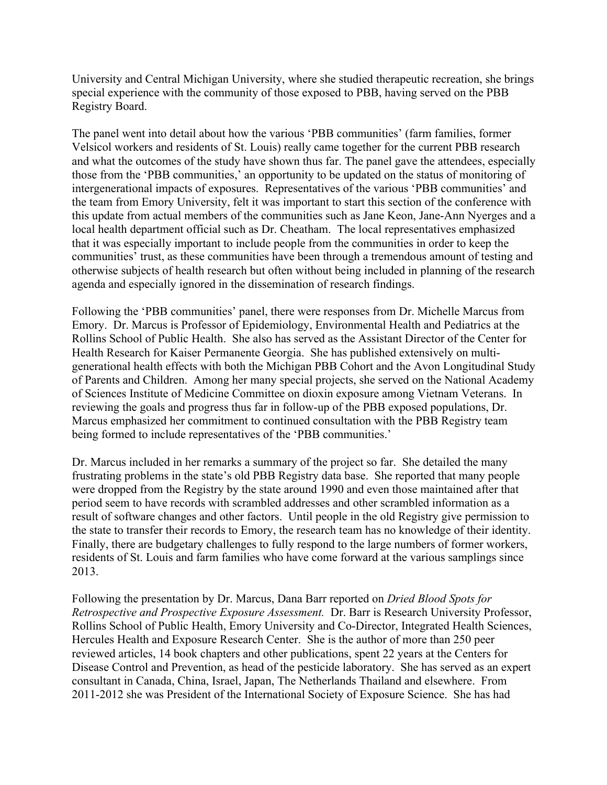University and Central Michigan University, where she studied therapeutic recreation, she brings special experience with the community of those exposed to PBB, having served on the PBB Registry Board.

The panel went into detail about how the various 'PBB communities' (farm families, former Velsicol workers and residents of St. Louis) really came together for the current PBB research and what the outcomes of the study have shown thus far. The panel gave the attendees, especially those from the 'PBB communities,' an opportunity to be updated on the status of monitoring of intergenerational impacts of exposures. Representatives of the various 'PBB communities' and the team from Emory University, felt it was important to start this section of the conference with this update from actual members of the communities such as Jane Keon, Jane-Ann Nyerges and a local health department official such as Dr. Cheatham. The local representatives emphasized that it was especially important to include people from the communities in order to keep the communities' trust, as these communities have been through a tremendous amount of testing and otherwise subjects of health research but often without being included in planning of the research agenda and especially ignored in the dissemination of research findings.

Following the 'PBB communities' panel, there were responses from Dr. Michelle Marcus from Emory. Dr. Marcus is Professor of Epidemiology, Environmental Health and Pediatrics at the Rollins School of Public Health. She also has served as the Assistant Director of the Center for Health Research for Kaiser Permanente Georgia. She has published extensively on multigenerational health effects with both the Michigan PBB Cohort and the Avon Longitudinal Study of Parents and Children. Among her many special projects, she served on the National Academy of Sciences Institute of Medicine Committee on dioxin exposure among Vietnam Veterans. In reviewing the goals and progress thus far in follow-up of the PBB exposed populations, Dr. Marcus emphasized her commitment to continued consultation with the PBB Registry team being formed to include representatives of the 'PBB communities.'

Dr. Marcus included in her remarks a summary of the project so far. She detailed the many frustrating problems in the state's old PBB Registry data base. She reported that many people were dropped from the Registry by the state around 1990 and even those maintained after that period seem to have records with scrambled addresses and other scrambled information as a result of software changes and other factors. Until people in the old Registry give permission to the state to transfer their records to Emory, the research team has no knowledge of their identity. Finally, there are budgetary challenges to fully respond to the large numbers of former workers, residents of St. Louis and farm families who have come forward at the various samplings since 2013.

Following the presentation by Dr. Marcus, Dana Barr reported on *Dried Blood Spots for Retrospective and Prospective Exposure Assessment.* Dr. Barr is Research University Professor, Rollins School of Public Health, Emory University and Co-Director, Integrated Health Sciences, Hercules Health and Exposure Research Center. She is the author of more than 250 peer reviewed articles, 14 book chapters and other publications, spent 22 years at the Centers for Disease Control and Prevention, as head of the pesticide laboratory. She has served as an expert consultant in Canada, China, Israel, Japan, The Netherlands Thailand and elsewhere. From 2011-2012 she was President of the International Society of Exposure Science. She has had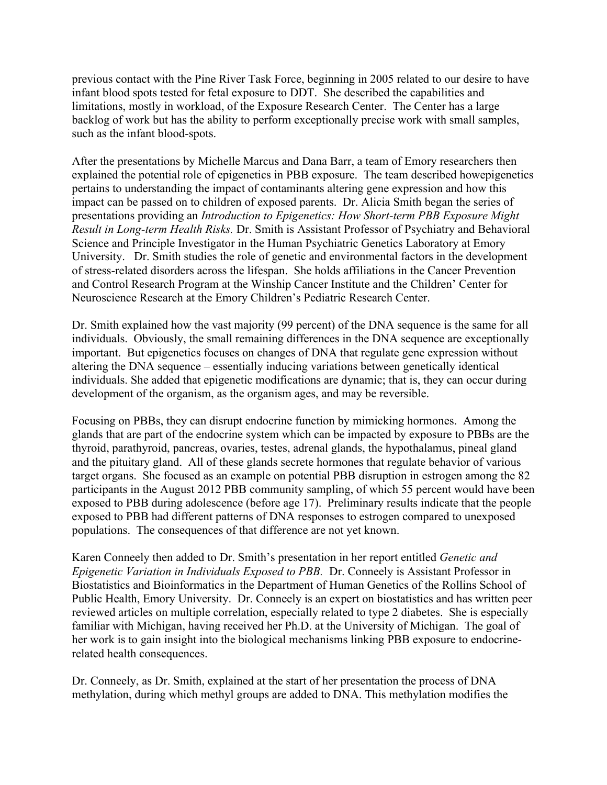previous contact with the Pine River Task Force, beginning in 2005 related to our desire to have infant blood spots tested for fetal exposure to DDT. She described the capabilities and limitations, mostly in workload, of the Exposure Research Center. The Center has a large backlog of work but has the ability to perform exceptionally precise work with small samples, such as the infant blood-spots.

After the presentations by Michelle Marcus and Dana Barr, a team of Emory researchers then explained the potential role of epigenetics in PBB exposure. The team described howepigenetics pertains to understanding the impact of contaminants altering gene expression and how this impact can be passed on to children of exposed parents. Dr. Alicia Smith began the series of presentations providing an *Introduction to Epigenetics: How Short-term PBB Exposure Might Result in Long-term Health Risks.* Dr. Smith is Assistant Professor of Psychiatry and Behavioral Science and Principle Investigator in the Human Psychiatric Genetics Laboratory at Emory University. Dr. Smith studies the role of genetic and environmental factors in the development of stress-related disorders across the lifespan. She holds affiliations in the Cancer Prevention and Control Research Program at the Winship Cancer Institute and the Children' Center for Neuroscience Research at the Emory Children's Pediatric Research Center.

Dr. Smith explained how the vast majority (99 percent) of the DNA sequence is the same for all individuals. Obviously, the small remaining differences in the DNA sequence are exceptionally important. But epigenetics focuses on changes of DNA that regulate gene expression without altering the DNA sequence – essentially inducing variations between genetically identical individuals. She added that epigenetic modifications are dynamic; that is, they can occur during development of the organism, as the organism ages, and may be reversible.

Focusing on PBBs, they can disrupt endocrine function by mimicking hormones. Among the glands that are part of the endocrine system which can be impacted by exposure to PBBs are the thyroid, parathyroid, pancreas, ovaries, testes, adrenal glands, the hypothalamus, pineal gland and the pituitary gland. All of these glands secrete hormones that regulate behavior of various target organs. She focused as an example on potential PBB disruption in estrogen among the 82 participants in the August 2012 PBB community sampling, of which 55 percent would have been exposed to PBB during adolescence (before age 17). Preliminary results indicate that the people exposed to PBB had different patterns of DNA responses to estrogen compared to unexposed populations. The consequences of that difference are not yet known.

Karen Conneely then added to Dr. Smith's presentation in her report entitled *Genetic and Epigenetic Variation in Individuals Exposed to PBB.* Dr. Conneely is Assistant Professor in Biostatistics and Bioinformatics in the Department of Human Genetics of the Rollins School of Public Health, Emory University. Dr. Conneely is an expert on biostatistics and has written peer reviewed articles on multiple correlation, especially related to type 2 diabetes. She is especially familiar with Michigan, having received her Ph.D. at the University of Michigan. The goal of her work is to gain insight into the biological mechanisms linking PBB exposure to endocrinerelated health consequences.

Dr. Conneely, as Dr. Smith, explained at the start of her presentation the process of DNA methylation, during which methyl groups are added to DNA. This methylation modifies the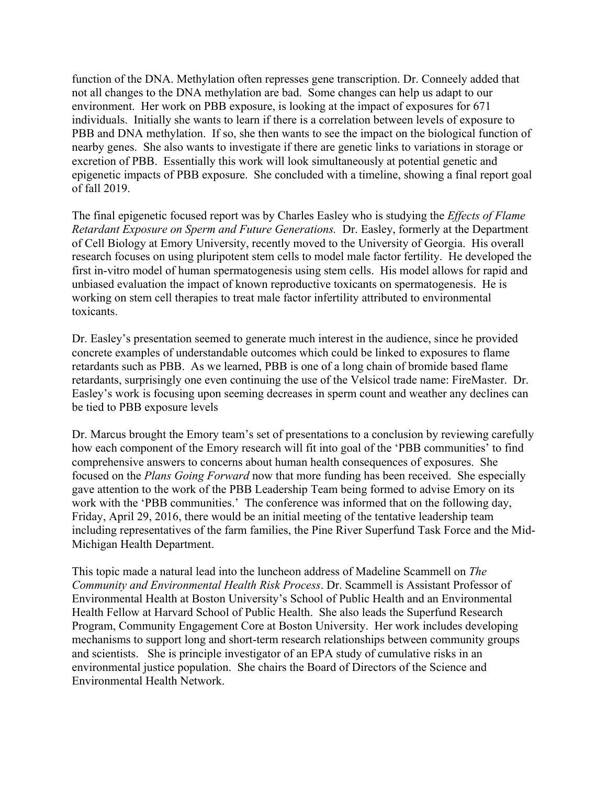function of the DNA. Methylation often represses gene transcription. Dr. Conneely added that not all changes to the DNA methylation are bad. Some changes can help us adapt to our environment. Her work on PBB exposure, is looking at the impact of exposures for 671 individuals. Initially she wants to learn if there is a correlation between levels of exposure to PBB and DNA methylation. If so, she then wants to see the impact on the biological function of nearby genes. She also wants to investigate if there are genetic links to variations in storage or excretion of PBB. Essentially this work will look simultaneously at potential genetic and epigenetic impacts of PBB exposure. She concluded with a timeline, showing a final report goal of fall 2019.

The final epigenetic focused report was by Charles Easley who is studying the *Effects of Flame Retardant Exposure on Sperm and Future Generations.* Dr. Easley, formerly at the Department of Cell Biology at Emory University, recently moved to the University of Georgia. His overall research focuses on using pluripotent stem cells to model male factor fertility. He developed the first in-vitro model of human spermatogenesis using stem cells. His model allows for rapid and unbiased evaluation the impact of known reproductive toxicants on spermatogenesis. He is working on stem cell therapies to treat male factor infertility attributed to environmental toxicants.

Dr. Easley's presentation seemed to generate much interest in the audience, since he provided concrete examples of understandable outcomes which could be linked to exposures to flame retardants such as PBB. As we learned, PBB is one of a long chain of bromide based flame retardants, surprisingly one even continuing the use of the Velsicol trade name: FireMaster. Dr. Easley's work is focusing upon seeming decreases in sperm count and weather any declines can be tied to PBB exposure levels

Dr. Marcus brought the Emory team's set of presentations to a conclusion by reviewing carefully how each component of the Emory research will fit into goal of the 'PBB communities' to find comprehensive answers to concerns about human health consequences of exposures. She focused on the *Plans Going Forward* now that more funding has been received. She especially gave attention to the work of the PBB Leadership Team being formed to advise Emory on its work with the 'PBB communities.' The conference was informed that on the following day, Friday, April 29, 2016, there would be an initial meeting of the tentative leadership team including representatives of the farm families, the Pine River Superfund Task Force and the Mid-Michigan Health Department.

This topic made a natural lead into the luncheon address of Madeline Scammell on *The Community and Environmental Health Risk Process*. Dr. Scammell is Assistant Professor of Environmental Health at Boston University's School of Public Health and an Environmental Health Fellow at Harvard School of Public Health. She also leads the Superfund Research Program, Community Engagement Core at Boston University. Her work includes developing mechanisms to support long and short-term research relationships between community groups and scientists. She is principle investigator of an EPA study of cumulative risks in an environmental justice population. She chairs the Board of Directors of the Science and Environmental Health Network.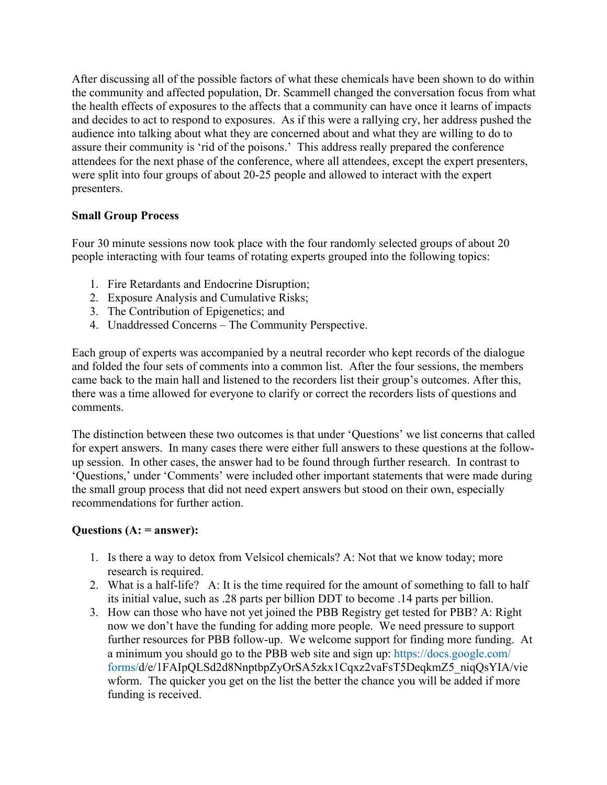After discussing all of the possible factors of what these chemicals have been shown to do within the community and affected population, Dr. Scammell changed the conversation focus from what the health effects of exposures to the affects that a community can have once it learns of impacts and decides to act to respond to exposures. As if this were a rallying cry, her address pushed the audience into talking about what they are concerned about and what they are willing to do to assure their community is 'rid of the poisons.' This address really prepared the conference attendees for the next phase of the conference, where all attendees, except the expert presenters, were split into four groups of about 20-25 people and allowed to interact with the expert presenters.

# **Small Group Process**

Four 30 minute sessions now took place with the four randomly selected groups of about 20 people interacting with four teams of rotating experts grouped into the following topics:

- 1. Fire Retardants and Endocrine Disruption;
- 2. Exposure Analysis and Cumulative Risks;
- 3. The Contribution of Epigenetics; and
- 4. Unaddressed Concerns The Community Perspective.

Each group of experts was accompanied by a neutral recorder who kept records of the dialogue and folded the four sets of comments into a common list. After the four sessions, the members came back to the main hall and listened to the recorders list their group's outcomes. After this, there was a time allowed for everyone to clarify or correct the recorders lists of questions and comments.

The distinction between these two outcomes is that under 'Questions' we list concerns that called for expert answers. In many cases there were either full answers to these questions at the followup session. In other cases, the answer had to be found through further research. In contrast to 'Questions,' under 'Comments' were included other important statements that were made during the small group process that did not need expert answers but stood on their own, especially recommendations for further action.

# **Questions (A: = answer):**

- 1. Is there a way to detox from Velsicol chemicals? A: Not that we know today; more research is required.
- 2. What is a half-life? A: It is the time required for the amount of something to fall to half its initial value, such as .28 parts per billion DDT to become .14 parts per billion.
- 3. How can those who have not yet joined the PBB Registry get tested for PBB? A: Right now we don't have the funding for adding more people. We need pressure to support further resources for PBB follow-up. We welcome support for finding more funding. At a minimum you should go to the PBB web site and sign up: https://docs.google.com/ forms/d/e/1FAIpQLSd2d8NnptbpZyOrSA5zkx1Cqxz2vaFsT5DeqkmZ5\_niqQsYIA/vie wform. The quicker you get on the list the better the chance you will be added if more funding is received.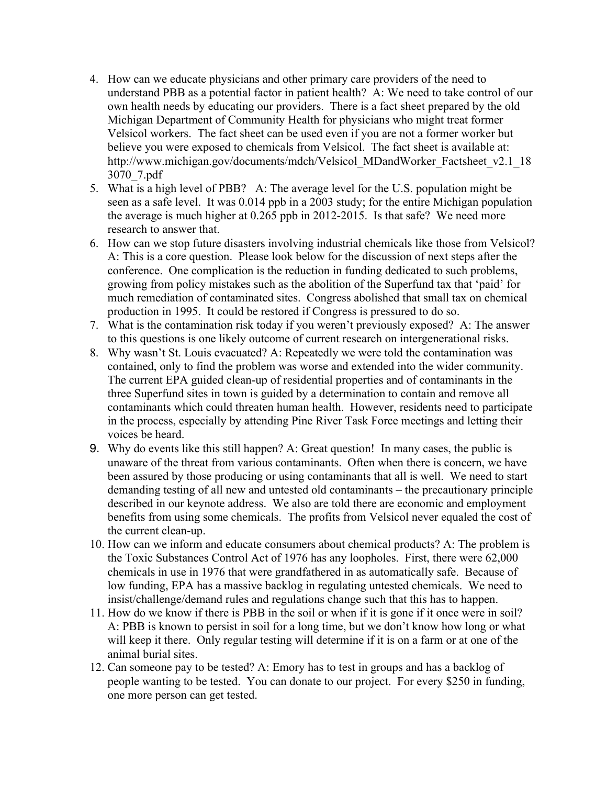- 4. How can we educate physicians and other primary care providers of the need to understand PBB as a potential factor in patient health? A: We need to take control of our own health needs by educating our providers. There is a fact sheet prepared by the old Michigan Department of Community Health for physicians who might treat former Velsicol workers. The fact sheet can be used even if you are not a former worker but believe you were exposed to chemicals from Velsicol. The fact sheet is available at: http://www.michigan.gov/documents/mdch/Velsicol\_MDandWorker\_Factsheet\_v2.1\_18 3070\_7.pdf
- 5. What is a high level of PBB? A: The average level for the U.S. population might be seen as a safe level. It was 0.014 ppb in a 2003 study; for the entire Michigan population the average is much higher at 0.265 ppb in 2012-2015. Is that safe? We need more research to answer that.
- 6. How can we stop future disasters involving industrial chemicals like those from Velsicol? A: This is a core question. Please look below for the discussion of next steps after the conference. One complication is the reduction in funding dedicated to such problems, growing from policy mistakes such as the abolition of the Superfund tax that 'paid' for much remediation of contaminated sites. Congress abolished that small tax on chemical production in 1995. It could be restored if Congress is pressured to do so.
- 7. What is the contamination risk today if you weren't previously exposed? A: The answer to this questions is one likely outcome of current research on intergenerational risks.
- 8. Why wasn't St. Louis evacuated? A: Repeatedly we were told the contamination was contained, only to find the problem was worse and extended into the wider community. The current EPA guided clean-up of residential properties and of contaminants in the three Superfund sites in town is guided by a determination to contain and remove all contaminants which could threaten human health. However, residents need to participate in the process, especially by attending Pine River Task Force meetings and letting their voices be heard.
- 9. Why do events like this still happen? A: Great question! In many cases, the public is unaware of the threat from various contaminants. Often when there is concern, we have been assured by those producing or using contaminants that all is well. We need to start demanding testing of all new and untested old contaminants – the precautionary principle described in our keynote address. We also are told there are economic and employment benefits from using some chemicals. The profits from Velsicol never equaled the cost of the current clean-up.
- 10. How can we inform and educate consumers about chemical products? A: The problem is the Toxic Substances Control Act of 1976 has any loopholes. First, there were 62,000 chemicals in use in 1976 that were grandfathered in as automatically safe. Because of low funding, EPA has a massive backlog in regulating untested chemicals. We need to insist/challenge/demand rules and regulations change such that this has to happen.
- 11. How do we know if there is PBB in the soil or when if it is gone if it once were in soil? A: PBB is known to persist in soil for a long time, but we don't know how long or what will keep it there. Only regular testing will determine if it is on a farm or at one of the animal burial sites.
- 12. Can someone pay to be tested? A: Emory has to test in groups and has a backlog of people wanting to be tested. You can donate to our project. For every \$250 in funding, one more person can get tested.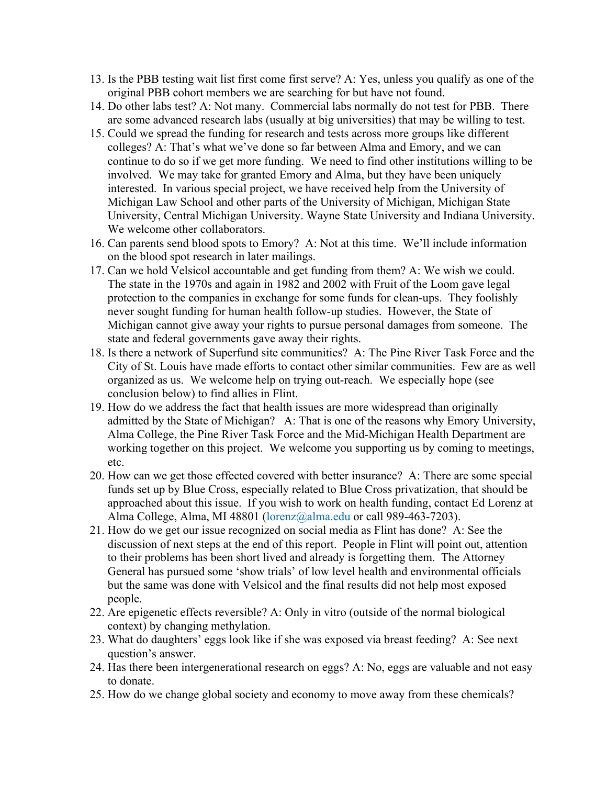- 13. Is the PBB testing wait list first come first serve? A: Yes, unless you qualify as one of the original PBB cohort members we are searching for but have not found.
- 14. Do other labs test? A: Not many. Commercial labs normally do not test for PBB. There are some advanced research labs (usually at big universities) that may be willing to test.
- 15. Could we spread the funding for research and tests across more groups like different colleges? A: That's what we've done so far between Alma and Emory, and we can continue to do so if we get more funding. We need to find other institutions willing to be involved. We may take for granted Emory and Alma, but they have been uniquely interested. In various special project, we have received help from the University of Michigan Law School and other parts of the University of Michigan, Michigan State University, Central Michigan University. Wayne State University and Indiana University. We welcome other collaborators.
- 16. Can parents send blood spots to Emory? A: Not at this time. We'll include information on the blood spot research in later mailings.
- 17. Can we hold Velsicol accountable and get funding from them? A: We wish we could. The state in the 1970s and again in 1982 and 2002 with Fruit of the Loom gave legal protection to the companies in exchange for some funds for clean-ups. They foolishly never sought funding for human health follow-up studies. However, the State of Michigan cannot give away your rights to pursue personal damages from someone. The state and federal governments gave away their rights.
- 18. Is there a network of Superfund site communities? A: The Pine River Task Force and the City of St. Louis have made efforts to contact other similar communities. Few are as well organized as us. We welcome help on trying out-reach. We especially hope (see conclusion below) to find allies in Flint.
- 19. How do we address the fact that health issues are more widespread than originally admitted by the State of Michigan? A: That is one of the reasons why Emory University, Alma College, the Pine River Task Force and the Mid-Michigan Health Department are working together on this project. We welcome you supporting us by coming to meetings, etc.
- 20. How can we get those effected covered with better insurance? A: There are some special funds set up by Blue Cross, especially related to Blue Cross privatization, that should be approached about this issue. If you wish to work on health funding, contact Ed Lorenz at Alma College, Alma, MI 48801 (lorenz@alma.edu or call 989-463-7203).
- 21. How do we get our issue recognized on social media as Flint has done? A: See the discussion of next steps at the end of this report. People in Flint will point out, attention to their problems has been short lived and already is forgetting them. The Attorney General has pursued some 'show trials' of low level health and environmental officials but the same was done with Velsicol and the final results did not help most exposed people.
- 22. Are epigenetic effects reversible? A: Only in vitro (outside of the normal biological context) by changing methylation.
- 23. What do daughters' eggs look like if she was exposed via breast feeding? A: See next question's answer.
- 24. Has there been intergenerational research on eggs? A: No, eggs are valuable and not easy to donate.
- 25. How do we change global society and economy to move away from these chemicals?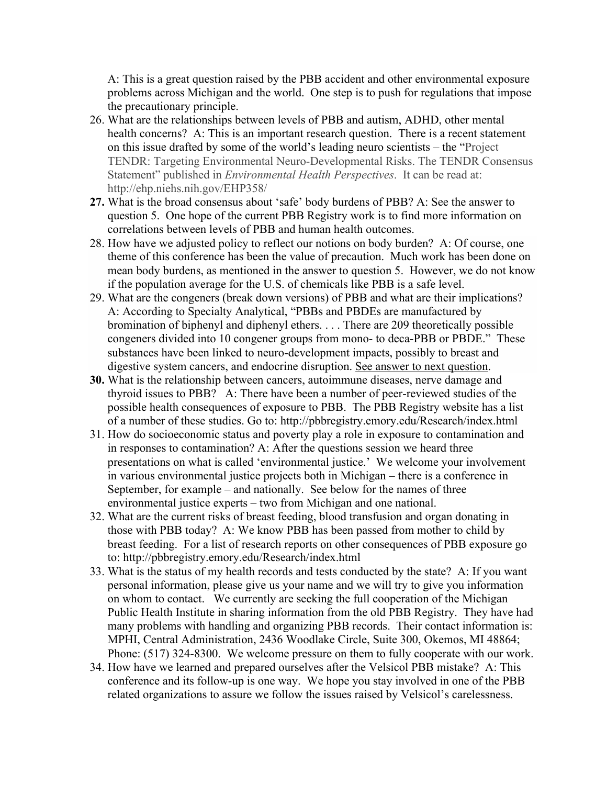A: This is a great question raised by the PBB accident and other environmental exposure problems across Michigan and the world. One step is to push for regulations that impose the precautionary principle.

- 26. What are the relationships between levels of PBB and autism, ADHD, other mental health concerns? A: This is an important research question. There is a recent statement on this issue drafted by some of the world's leading neuro scientists – the "Project TENDR: Targeting Environmental Neuro-Developmental Risks. The TENDR Consensus Statement" published in *Environmental Health Perspectives*. It can be read at: http://ehp.niehs.nih.gov/EHP358/
- **27.** What is the broad consensus about 'safe' body burdens of PBB? A: See the answer to question 5. One hope of the current PBB Registry work is to find more information on correlations between levels of PBB and human health outcomes.
- 28. How have we adjusted policy to reflect our notions on body burden? A: Of course, one theme of this conference has been the value of precaution. Much work has been done on mean body burdens, as mentioned in the answer to question 5. However, we do not know if the population average for the U.S. of chemicals like PBB is a safe level.
- 29. What are the congeners (break down versions) of PBB and what are their implications? A: According to Specialty Analytical, "PBBs and PBDEs are manufactured by bromination of biphenyl and diphenyl ethers. . . . There are 209 theoretically possible congeners divided into 10 congener groups from mono- to deca-PBB or PBDE." These substances have been linked to neuro-development impacts, possibly to breast and digestive system cancers, and endocrine disruption. See answer to next question.
- **30.** What is the relationship between cancers, autoimmune diseases, nerve damage and thyroid issues to PBB? A: There have been a number of peer-reviewed studies of the possible health consequences of exposure to PBB. The PBB Registry website has a list of a number of these studies. Go to: http://pbbregistry.emory.edu/Research/index.html
- 31. How do socioeconomic status and poverty play a role in exposure to contamination and in responses to contamination? A: After the questions session we heard three presentations on what is called 'environmental justice.' We welcome your involvement in various environmental justice projects both in Michigan – there is a conference in September, for example – and nationally. See below for the names of three environmental justice experts – two from Michigan and one national.
- 32. What are the current risks of breast feeding, blood transfusion and organ donating in those with PBB today? A: We know PBB has been passed from mother to child by breast feeding. For a list of research reports on other consequences of PBB exposure go to: http://pbbregistry.emory.edu/Research/index.html
- 33. What is the status of my health records and tests conducted by the state? A: If you want personal information, please give us your name and we will try to give you information on whom to contact. We currently are seeking the full cooperation of the Michigan Public Health Institute in sharing information from the old PBB Registry. They have had many problems with handling and organizing PBB records. Their contact information is: MPHI, Central Administration, 2436 Woodlake Circle, Suite 300, Okemos, MI 48864; Phone: (517) 324-8300. We welcome pressure on them to fully cooperate with our work.
- 34. How have we learned and prepared ourselves after the Velsicol PBB mistake? A: This conference and its follow-up is one way. We hope you stay involved in one of the PBB related organizations to assure we follow the issues raised by Velsicol's carelessness.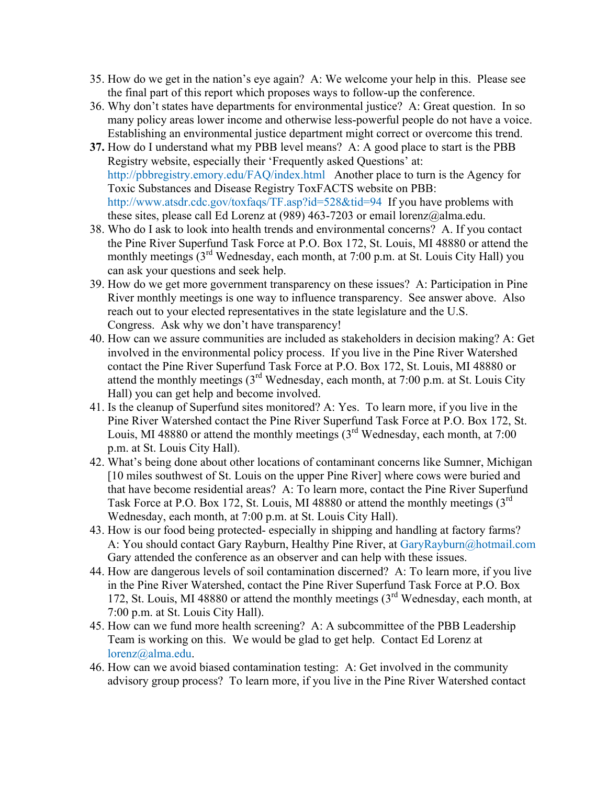- 35. How do we get in the nation's eye again? A: We welcome your help in this. Please see the final part of this report which proposes ways to follow-up the conference.
- 36. Why don't states have departments for environmental justice? A: Great question. In so many policy areas lower income and otherwise less-powerful people do not have a voice. Establishing an environmental justice department might correct or overcome this trend.
- **37.** How do I understand what my PBB level means? A: A good place to start is the PBB Registry website, especially their 'Frequently asked Questions' at: http://pbbregistry.emory.edu/FAQ/index.html Another place to turn is the Agency for Toxic Substances and Disease Registry ToxFACTS website on PBB: http://www.atsdr.cdc.gov/toxfaqs/TF.asp?id=528&tid=94 If you have problems with these sites, please call Ed Lorenz at (989) 463-7203 or email lorenz@alma.edu.
- 38. Who do I ask to look into health trends and environmental concerns? A. If you contact the Pine River Superfund Task Force at P.O. Box 172, St. Louis, MI 48880 or attend the monthly meetings (3<sup>rd</sup> Wednesday, each month, at 7:00 p.m. at St. Louis City Hall) you can ask your questions and seek help.
- 39. How do we get more government transparency on these issues? A: Participation in Pine River monthly meetings is one way to influence transparency. See answer above. Also reach out to your elected representatives in the state legislature and the U.S. Congress. Ask why we don't have transparency!
- 40. How can we assure communities are included as stakeholders in decision making? A: Get involved in the environmental policy process. If you live in the Pine River Watershed contact the Pine River Superfund Task Force at P.O. Box 172, St. Louis, MI 48880 or attend the monthly meetings  $(3<sup>rd</sup> Wednesday, each month, at 7:00 p.m. at St. Louis City)$ Hall) you can get help and become involved.
- 41. Is the cleanup of Superfund sites monitored? A: Yes. To learn more, if you live in the Pine River Watershed contact the Pine River Superfund Task Force at P.O. Box 172, St. Louis, MI 48880 or attend the monthly meetings  $(3<sup>rd</sup>$  Wednesday, each month, at 7:00 p.m. at St. Louis City Hall).
- 42. What's being done about other locations of contaminant concerns like Sumner, Michigan [10 miles southwest of St. Louis on the upper Pine River] where cows were buried and that have become residential areas? A: To learn more, contact the Pine River Superfund Task Force at P.O. Box 172, St. Louis, MI 48880 or attend the monthly meetings  $3^{rd}$ Wednesday, each month, at 7:00 p.m. at St. Louis City Hall).
- 43. How is our food being protected- especially in shipping and handling at factory farms? A: You should contact Gary Rayburn, Healthy Pine River, at GaryRayburn@hotmail.com Gary attended the conference as an observer and can help with these issues.
- 44. How are dangerous levels of soil contamination discerned? A: To learn more, if you live in the Pine River Watershed, contact the Pine River Superfund Task Force at P.O. Box 172, St. Louis, MI 48880 or attend the monthly meetings  $(3<sup>rd</sup>$  Wednesday, each month, at 7:00 p.m. at St. Louis City Hall).
- 45. How can we fund more health screening? A: A subcommittee of the PBB Leadership Team is working on this. We would be glad to get help. Contact Ed Lorenz at lorenz@alma.edu.
- 46. How can we avoid biased contamination testing: A: Get involved in the community advisory group process? To learn more, if you live in the Pine River Watershed contact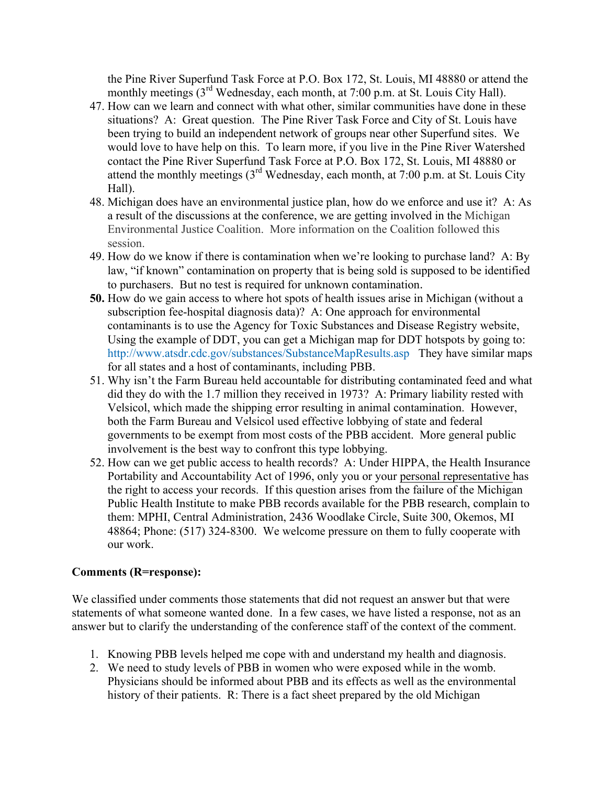the Pine River Superfund Task Force at P.O. Box 172, St. Louis, MI 48880 or attend the monthly meetings (3<sup>rd</sup> Wednesday, each month, at 7:00 p.m. at St. Louis City Hall).

- 47. How can we learn and connect with what other, similar communities have done in these situations? A: Great question. The Pine River Task Force and City of St. Louis have been trying to build an independent network of groups near other Superfund sites. We would love to have help on this. To learn more, if you live in the Pine River Watershed contact the Pine River Superfund Task Force at P.O. Box 172, St. Louis, MI 48880 or attend the monthly meetings  $(3<sup>rd</sup> Wednesday, each month, at 7:00 p.m. at St. Louis City)$ Hall).
- 48. Michigan does have an environmental justice plan, how do we enforce and use it? A: As a result of the discussions at the conference, we are getting involved in the Michigan Environmental Justice Coalition. More information on the Coalition followed this session.
- 49. How do we know if there is contamination when we're looking to purchase land? A: By law, "if known" contamination on property that is being sold is supposed to be identified to purchasers. But no test is required for unknown contamination.
- **50.** How do we gain access to where hot spots of health issues arise in Michigan (without a subscription fee-hospital diagnosis data)? A: One approach for environmental contaminants is to use the Agency for Toxic Substances and Disease Registry website, Using the example of DDT, you can get a Michigan map for DDT hotspots by going to: http://www.atsdr.cdc.gov/substances/SubstanceMapResults.asp They have similar maps for all states and a host of contaminants, including PBB.
- 51. Why isn't the Farm Bureau held accountable for distributing contaminated feed and what did they do with the 1.7 million they received in 1973? A: Primary liability rested with Velsicol, which made the shipping error resulting in animal contamination. However, both the Farm Bureau and Velsicol used effective lobbying of state and federal governments to be exempt from most costs of the PBB accident. More general public involvement is the best way to confront this type lobbying.
- 52. How can we get public access to health records? A: Under HIPPA, the Health Insurance Portability and Accountability Act of 1996, only you or your personal representative has the right to access your records. If this question arises from the failure of the Michigan Public Health Institute to make PBB records available for the PBB research, complain to them: MPHI, Central Administration, 2436 Woodlake Circle, Suite 300, Okemos, MI 48864; Phone: (517) 324-8300. We welcome pressure on them to fully cooperate with our work.

# **Comments (R=response):**

We classified under comments those statements that did not request an answer but that were statements of what someone wanted done. In a few cases, we have listed a response, not as an answer but to clarify the understanding of the conference staff of the context of the comment.

- 1. Knowing PBB levels helped me cope with and understand my health and diagnosis.
- 2. We need to study levels of PBB in women who were exposed while in the womb. Physicians should be informed about PBB and its effects as well as the environmental history of their patients. R: There is a fact sheet prepared by the old Michigan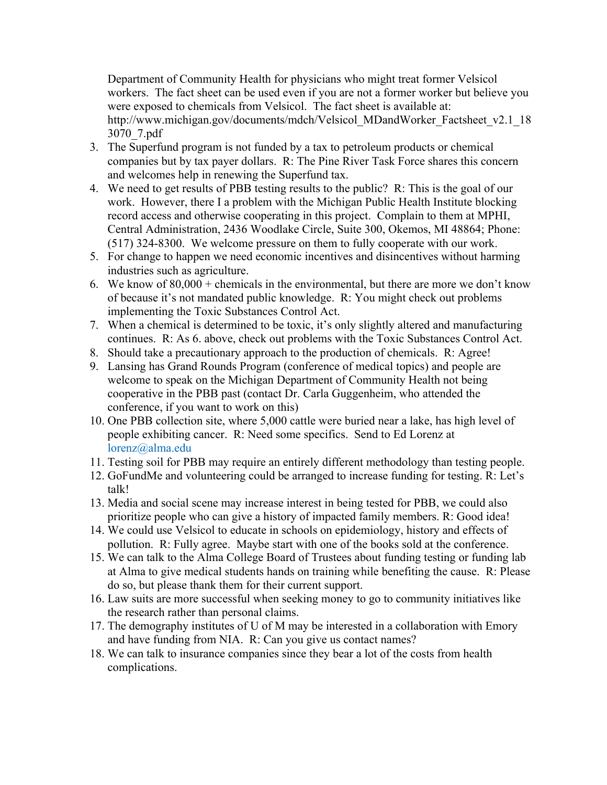Department of Community Health for physicians who might treat former Velsicol workers. The fact sheet can be used even if you are not a former worker but believe you were exposed to chemicals from Velsicol. The fact sheet is available at: http://www.michigan.gov/documents/mdch/Velsicol\_MDandWorker\_Factsheet\_v2.1\_18 3070\_7.pdf

- 3. The Superfund program is not funded by a tax to petroleum products or chemical companies but by tax payer dollars. R: The Pine River Task Force shares this concern and welcomes help in renewing the Superfund tax.
- 4. We need to get results of PBB testing results to the public? R: This is the goal of our work. However, there I a problem with the Michigan Public Health Institute blocking record access and otherwise cooperating in this project. Complain to them at MPHI, Central Administration, 2436 Woodlake Circle, Suite 300, Okemos, MI 48864; Phone: (517) 324-8300. We welcome pressure on them to fully cooperate with our work.
- 5. For change to happen we need economic incentives and disincentives without harming industries such as agriculture.
- 6. We know of  $80,000 +$  chemicals in the environmental, but there are more we don't know of because it's not mandated public knowledge. R: You might check out problems implementing the Toxic Substances Control Act.
- 7. When a chemical is determined to be toxic, it's only slightly altered and manufacturing continues. R: As 6. above, check out problems with the Toxic Substances Control Act.
- 8. Should take a precautionary approach to the production of chemicals. R: Agree!
- 9. Lansing has Grand Rounds Program (conference of medical topics) and people are welcome to speak on the Michigan Department of Community Health not being cooperative in the PBB past (contact Dr. Carla Guggenheim, who attended the conference, if you want to work on this)
- 10. One PBB collection site, where 5,000 cattle were buried near a lake, has high level of people exhibiting cancer. R: Need some specifics. Send to Ed Lorenz at lorenz@alma.edu
- 11. Testing soil for PBB may require an entirely different methodology than testing people.
- 12. GoFundMe and volunteering could be arranged to increase funding for testing. R: Let's talk!
- 13. Media and social scene may increase interest in being tested for PBB, we could also prioritize people who can give a history of impacted family members. R: Good idea!
- 14. We could use Velsicol to educate in schools on epidemiology, history and effects of pollution. R: Fully agree. Maybe start with one of the books sold at the conference.
- 15. We can talk to the Alma College Board of Trustees about funding testing or funding lab at Alma to give medical students hands on training while benefiting the cause. R: Please do so, but please thank them for their current support.
- 16. Law suits are more successful when seeking money to go to community initiatives like the research rather than personal claims.
- 17. The demography institutes of U of M may be interested in a collaboration with Emory and have funding from NIA. R: Can you give us contact names?
- 18. We can talk to insurance companies since they bear a lot of the costs from health complications.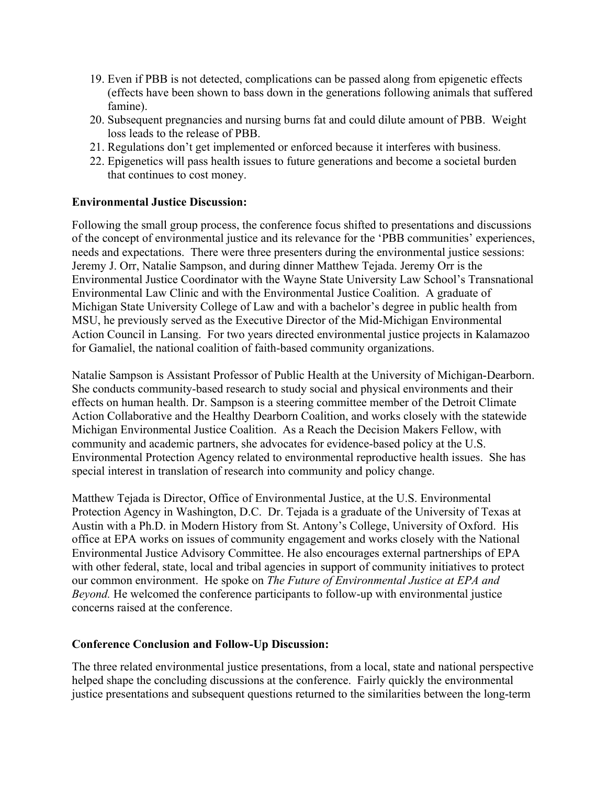- 19. Even if PBB is not detected, complications can be passed along from epigenetic effects (effects have been shown to bass down in the generations following animals that suffered famine).
- 20. Subsequent pregnancies and nursing burns fat and could dilute amount of PBB. Weight loss leads to the release of PBB.
- 21. Regulations don't get implemented or enforced because it interferes with business.
- 22. Epigenetics will pass health issues to future generations and become a societal burden that continues to cost money.

### **Environmental Justice Discussion:**

Following the small group process, the conference focus shifted to presentations and discussions of the concept of environmental justice and its relevance for the 'PBB communities' experiences, needs and expectations. There were three presenters during the environmental justice sessions: Jeremy J. Orr, Natalie Sampson, and during dinner Matthew Tejada. Jeremy Orr is the Environmental Justice Coordinator with the Wayne State University Law School's Transnational Environmental Law Clinic and with the Environmental Justice Coalition. A graduate of Michigan State University College of Law and with a bachelor's degree in public health from MSU, he previously served as the Executive Director of the Mid-Michigan Environmental Action Council in Lansing. For two years directed environmental justice projects in Kalamazoo for Gamaliel, the national coalition of faith-based community organizations.

Natalie Sampson is Assistant Professor of Public Health at the University of Michigan-Dearborn. She conducts community-based research to study social and physical environments and their effects on human health. Dr. Sampson is a steering committee member of the Detroit Climate Action Collaborative and the Healthy Dearborn Coalition, and works closely with the statewide Michigan Environmental Justice Coalition. As a Reach the Decision Makers Fellow, with community and academic partners, she advocates for evidence-based policy at the U.S. Environmental Protection Agency related to environmental reproductive health issues. She has special interest in translation of research into community and policy change.

Matthew Tejada is Director, Office of Environmental Justice, at the U.S. Environmental Protection Agency in Washington, D.C. Dr. Tejada is a graduate of the University of Texas at Austin with a Ph.D. in Modern History from St. Antony's College, University of Oxford. His office at EPA works on issues of community engagement and works closely with the National Environmental Justice Advisory Committee. He also encourages external partnerships of EPA with other federal, state, local and tribal agencies in support of community initiatives to protect our common environment. He spoke on *The Future of Environmental Justice at EPA and Beyond.* He welcomed the conference participants to follow-up with environmental justice concerns raised at the conference.

#### **Conference Conclusion and Follow-Up Discussion:**

The three related environmental justice presentations, from a local, state and national perspective helped shape the concluding discussions at the conference. Fairly quickly the environmental justice presentations and subsequent questions returned to the similarities between the long-term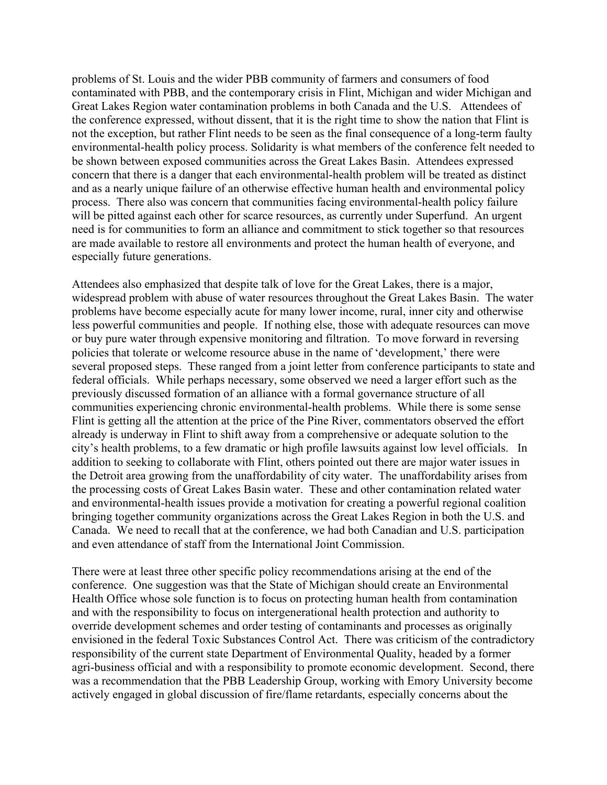problems of St. Louis and the wider PBB community of farmers and consumers of food contaminated with PBB, and the contemporary crisis in Flint, Michigan and wider Michigan and Great Lakes Region water contamination problems in both Canada and the U.S. Attendees of the conference expressed, without dissent, that it is the right time to show the nation that Flint is not the exception, but rather Flint needs to be seen as the final consequence of a long-term faulty environmental-health policy process. Solidarity is what members of the conference felt needed to be shown between exposed communities across the Great Lakes Basin. Attendees expressed concern that there is a danger that each environmental-health problem will be treated as distinct and as a nearly unique failure of an otherwise effective human health and environmental policy process. There also was concern that communities facing environmental-health policy failure will be pitted against each other for scarce resources, as currently under Superfund. An urgent need is for communities to form an alliance and commitment to stick together so that resources are made available to restore all environments and protect the human health of everyone, and especially future generations.

Attendees also emphasized that despite talk of love for the Great Lakes, there is a major, widespread problem with abuse of water resources throughout the Great Lakes Basin. The water problems have become especially acute for many lower income, rural, inner city and otherwise less powerful communities and people. If nothing else, those with adequate resources can move or buy pure water through expensive monitoring and filtration. To move forward in reversing policies that tolerate or welcome resource abuse in the name of 'development,' there were several proposed steps. These ranged from a joint letter from conference participants to state and federal officials. While perhaps necessary, some observed we need a larger effort such as the previously discussed formation of an alliance with a formal governance structure of all communities experiencing chronic environmental-health problems. While there is some sense Flint is getting all the attention at the price of the Pine River, commentators observed the effort already is underway in Flint to shift away from a comprehensive or adequate solution to the city's health problems, to a few dramatic or high profile lawsuits against low level officials. In addition to seeking to collaborate with Flint, others pointed out there are major water issues in the Detroit area growing from the unaffordability of city water. The unaffordability arises from the processing costs of Great Lakes Basin water. These and other contamination related water and environmental-health issues provide a motivation for creating a powerful regional coalition bringing together community organizations across the Great Lakes Region in both the U.S. and Canada. We need to recall that at the conference, we had both Canadian and U.S. participation and even attendance of staff from the International Joint Commission.

There were at least three other specific policy recommendations arising at the end of the conference. One suggestion was that the State of Michigan should create an Environmental Health Office whose sole function is to focus on protecting human health from contamination and with the responsibility to focus on intergenerational health protection and authority to override development schemes and order testing of contaminants and processes as originally envisioned in the federal Toxic Substances Control Act. There was criticism of the contradictory responsibility of the current state Department of Environmental Quality, headed by a former agri-business official and with a responsibility to promote economic development. Second, there was a recommendation that the PBB Leadership Group, working with Emory University become actively engaged in global discussion of fire/flame retardants, especially concerns about the